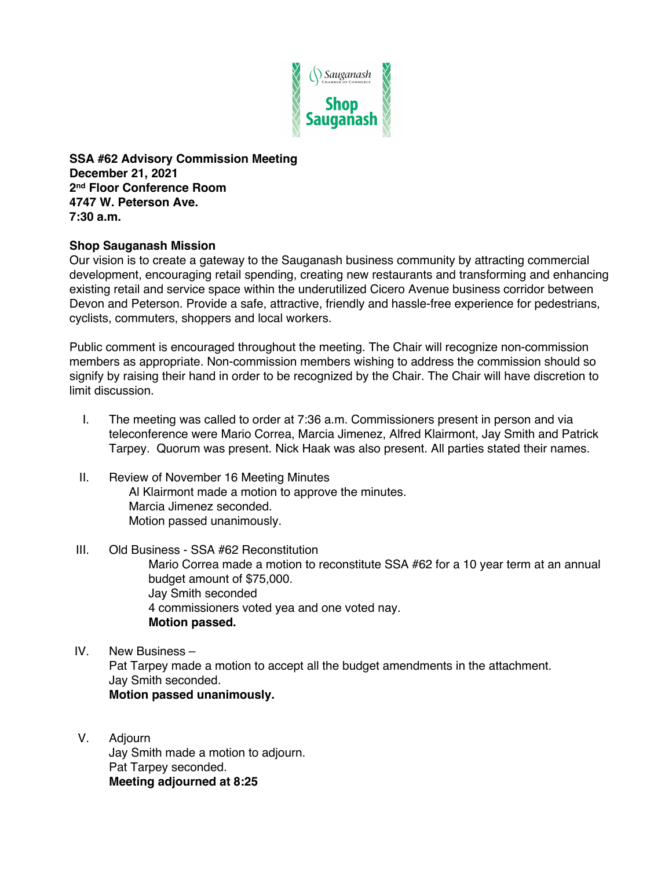

**SSA #62 Advisory Commission Meeting December 21, 2021 2nd Floor Conference Room 4747 W. Peterson Ave. 7:30 a.m.**

## **Shop Sauganash Mission**

Our vision is to create a gateway to the Sauganash business community by attracting commercial development, encouraging retail spending, creating new restaurants and transforming and enhancing existing retail and service space within the underutilized Cicero Avenue business corridor between Devon and Peterson. Provide a safe, attractive, friendly and hassle-free experience for pedestrians, cyclists, commuters, shoppers and local workers.

Public comment is encouraged throughout the meeting. The Chair will recognize non-commission members as appropriate. Non-commission members wishing to address the commission should so signify by raising their hand in order to be recognized by the Chair. The Chair will have discretion to limit discussion.

- I. The meeting was called to order at 7:36 a.m. Commissioners present in person and via teleconference were Mario Correa, Marcia Jimenez, Alfred Klairmont, Jay Smith and Patrick Tarpey. Quorum was present. Nick Haak was also present. All parties stated their names.
- II. Review of November 16 Meeting Minutes Al Klairmont made a motion to approve the minutes. Marcia Jimenez seconded. Motion passed unanimously.
- III. Old Business SSA #62 Reconstitution Mario Correa made a motion to reconstitute SSA #62 for a 10 year term at an annual budget amount of \$75,000. Jay Smith seconded 4 commissioners voted yea and one voted nay. **Motion passed.**
- IV. New Business Pat Tarpey made a motion to accept all the budget amendments in the attachment. Jay Smith seconded. **Motion passed unanimously.**
- V. Adjourn Jay Smith made a motion to adjourn. Pat Tarpey seconded. **Meeting adjourned at 8:25**